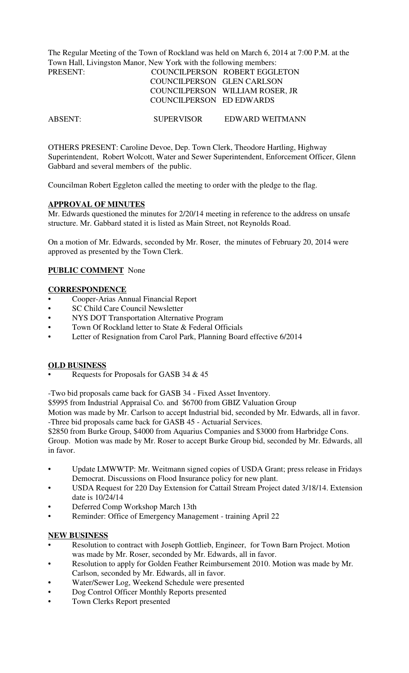The Regular Meeting of the Town of Rockland was held on March 6, 2014 at 7:00 P.M. at the Town Hall, Livingston Manor, New York with the following members:

| PRESENT: | COUNCILPERSON ROBERT EGGLETON        |  |
|----------|--------------------------------------|--|
|          | COUNCILPERSON GLEN CARLSON           |  |
|          | COUNCILPERSON WILLIAM ROSER, JR      |  |
|          | COUNCILPERSON ED EDWARDS             |  |
|          |                                      |  |
| ABSENT:  | EDWARD WEITMANN<br><b>SUPERVISOR</b> |  |

OTHERS PRESENT: Caroline Devoe, Dep. Town Clerk, Theodore Hartling, Highway Superintendent, Robert Wolcott, Water and Sewer Superintendent, Enforcement Officer, Glenn Gabbard and several members of the public.

Councilman Robert Eggleton called the meeting to order with the pledge to the flag.

# **APPROVAL OF MINUTES**

Mr. Edwards questioned the minutes for 2/20/14 meeting in reference to the address on unsafe structure. Mr. Gabbard stated it is listed as Main Street, not Reynolds Road.

On a motion of Mr. Edwards, seconded by Mr. Roser, the minutes of February 20, 2014 were approved as presented by the Town Clerk.

# **PUBLIC COMMENT** None

### **CORRESPONDENCE**

- Cooper-Arias Annual Financial Report
- SC Child Care Council Newsletter
- NYS DOT Transportation Alternative Program
- Town Of Rockland letter to State & Federal Officials
- Letter of Resignation from Carol Park, Planning Board effective 6/2014

#### **OLD BUSINESS**

• Requests for Proposals for GASB 34 & 45

-Two bid proposals came back for GASB 34 - Fixed Asset Inventory.

\$5995 from Industrial Appraisal Co. and \$6700 from GBIZ Valuation Group

Motion was made by Mr. Carlson to accept Industrial bid, seconded by Mr. Edwards, all in favor. -Three bid proposals came back for GASB 45 - Actuarial Services.

\$2850 from Burke Group, \$4000 from Aquarius Companies and \$3000 from Harbridge Cons.

Group. Motion was made by Mr. Roser to accept Burke Group bid, seconded by Mr. Edwards, all in favor.

- Update LMWWTP: Mr. Weitmann signed copies of USDA Grant; press release in Fridays Democrat. Discussions on Flood Insurance policy for new plant.
- USDA Request for 220 Day Extension for Cattail Stream Project dated 3/18/14. Extension date is 10/24/14
- Deferred Comp Workshop March 13th
- Reminder: Office of Emergency Management training April 22

#### **NEW BUSINESS**

- Resolution to contract with Joseph Gottlieb, Engineer, for Town Barn Project. Motion was made by Mr. Roser, seconded by Mr. Edwards, all in favor.
- Resolution to apply for Golden Feather Reimbursement 2010. Motion was made by Mr. Carlson, seconded by Mr. Edwards, all in favor.
- **•** Water/Sewer Log, Weekend Schedule were presented
- Dog Control Officer Monthly Reports presented
- Town Clerks Report presented